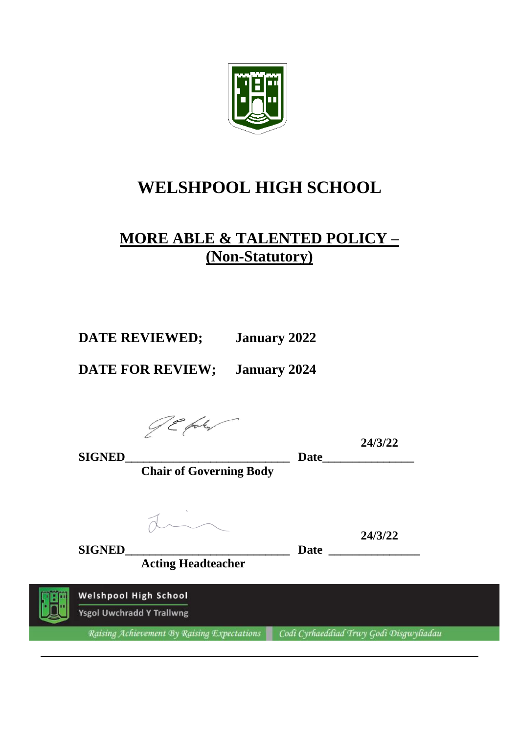

## **WELSHPOOL HIGH SCHOOL**

### **MORE ABLE & TALENTED POLICY – (Non-Statutory)**

**DATE REVIEWED; January 2022**

**DATE FOR REVIEW; January 2024**

JE faku

**24/3/22**

**SIGNED\_\_\_\_\_\_\_\_\_\_\_\_\_\_\_\_\_\_\_\_\_\_\_\_\_\_\_ Date\_\_\_\_\_\_\_\_\_\_\_\_\_\_\_ Chair of Governing Body**

**24/3/22**

**Acting Headteacher**

**SIGNED\_\_\_\_\_\_\_\_\_\_\_\_\_\_\_\_\_\_\_\_\_\_\_\_\_\_\_ Date \_\_\_\_\_\_\_\_\_\_\_\_\_\_\_**

**Welshpool High School Ysgol Uwchradd Y Trallwng** 

Raising Achievement By Raising Expectations Codi Cyrhaeddiad Trwy Godi Disgwyliadau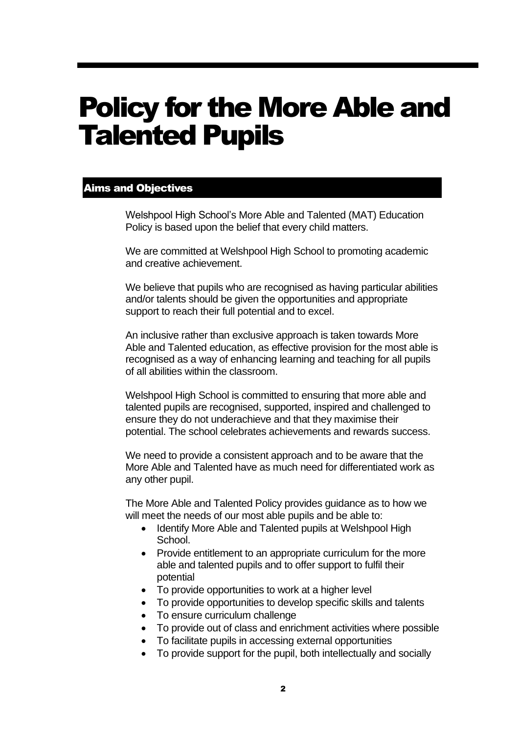# Policy for the More Able and Talented Pupils

#### Aims and Objectives

Welshpool High School's More Able and Talented (MAT) Education Policy is based upon the belief that every child matters.

We are committed at Welshpool High School to promoting academic and creative achievement.

We believe that pupils who are recognised as having particular abilities and/or talents should be given the opportunities and appropriate support to reach their full potential and to excel.

An inclusive rather than exclusive approach is taken towards More Able and Talented education, as effective provision for the most able is recognised as a way of enhancing learning and teaching for all pupils of all abilities within the classroom.

Welshpool High School is committed to ensuring that more able and talented pupils are recognised, supported, inspired and challenged to ensure they do not underachieve and that they maximise their potential. The school celebrates achievements and rewards success.

We need to provide a consistent approach and to be aware that the More Able and Talented have as much need for differentiated work as any other pupil.

The More Able and Talented Policy provides guidance as to how we will meet the needs of our most able pupils and be able to:

- Identify More Able and Talented pupils at Welshpool High School.
- Provide entitlement to an appropriate curriculum for the more able and talented pupils and to offer support to fulfil their potential
- To provide opportunities to work at a higher level
- To provide opportunities to develop specific skills and talents
- To ensure curriculum challenge
- To provide out of class and enrichment activities where possible
- To facilitate pupils in accessing external opportunities
- To provide support for the pupil, both intellectually and socially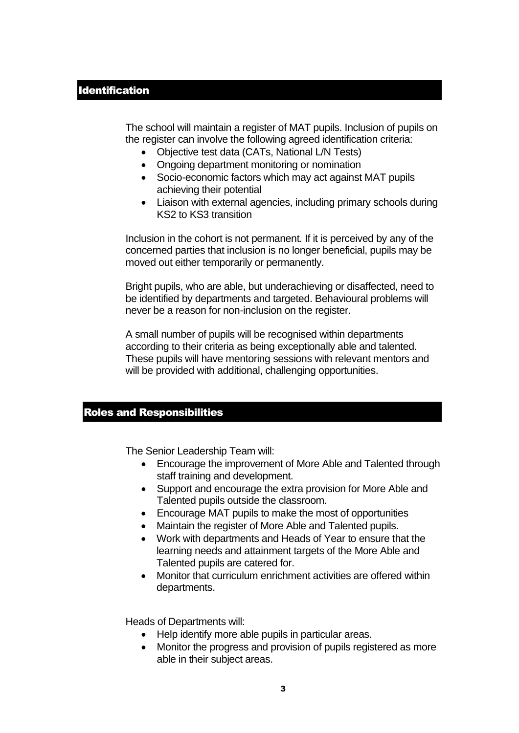The school will maintain a register of MAT pupils. Inclusion of pupils on the register can involve the following agreed identification criteria:

- Objective test data (CATs, National L/N Tests)
- Ongoing department monitoring or nomination
- Socio-economic factors which may act against MAT pupils achieving their potential
- Liaison with external agencies, including primary schools during KS2 to KS3 transition

Inclusion in the cohort is not permanent. If it is perceived by any of the concerned parties that inclusion is no longer beneficial, pupils may be moved out either temporarily or permanently.

Bright pupils, who are able, but underachieving or disaffected, need to be identified by departments and targeted. Behavioural problems will never be a reason for non-inclusion on the register.

A small number of pupils will be recognised within departments according to their criteria as being exceptionally able and talented. These pupils will have mentoring sessions with relevant mentors and will be provided with additional, challenging opportunities.

#### Roles and Responsibilities

The Senior Leadership Team will:

- Encourage the improvement of More Able and Talented through staff training and development.
- Support and encourage the extra provision for More Able and Talented pupils outside the classroom.
- Encourage MAT pupils to make the most of opportunities
- Maintain the register of More Able and Talented pupils.
- Work with departments and Heads of Year to ensure that the learning needs and attainment targets of the More Able and Talented pupils are catered for.
- Monitor that curriculum enrichment activities are offered within departments.

Heads of Departments will:

- Help identify more able pupils in particular areas.
- Monitor the progress and provision of pupils registered as more able in their subject areas.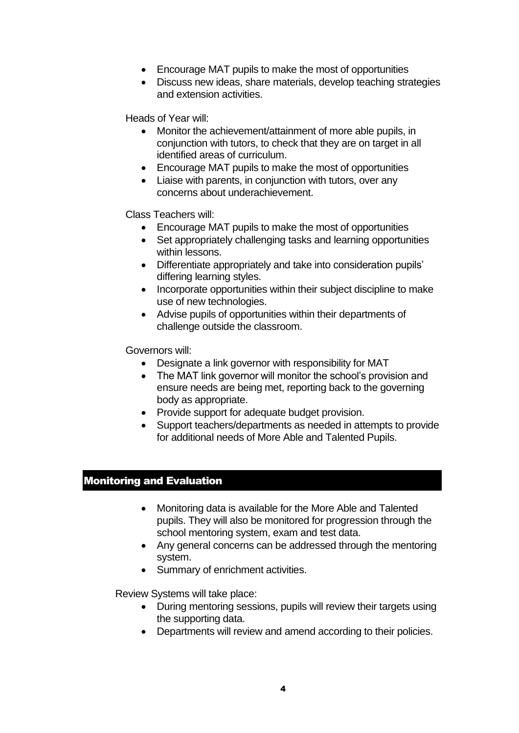- Encourage MAT pupils to make the most of opportunities
- Discuss new ideas, share materials, develop teaching strategies and extension activities.

Heads of Year will:

- Monitor the achievement/attainment of more able pupils, in conjunction with tutors, to check that they are on target in all identified areas of curriculum.
- Encourage MAT pupils to make the most of opportunities
- Liaise with parents, in conjunction with tutors, over any concerns about underachievement.

Class Teachers will:

- Encourage MAT pupils to make the most of opportunities
- Set appropriately challenging tasks and learning opportunities within lessons.
- Differentiate appropriately and take into consideration pupils' differing learning styles.
- Incorporate opportunities within their subject discipline to make use of new technologies.
- Advise pupils of opportunities within their departments of challenge outside the classroom.

Governors will:

- Designate a link governor with responsibility for MAT
- The MAT link governor will monitor the school's provision and ensure needs are being met, reporting back to the governing body as appropriate.
- Provide support for adequate budget provision.
- Support teachers/departments as needed in attempts to provide for additional needs of More Able and Talented Pupils.

#### Monitoring and Evaluation

- Monitoring data is available for the More Able and Talented pupils. They will also be monitored for progression through the school mentoring system, exam and test data.
- Any general concerns can be addressed through the mentoring system.
- Summary of enrichment activities.

Review Systems will take place:

- During mentoring sessions, pupils will review their targets using the supporting data.
- Departments will review and amend according to their policies.